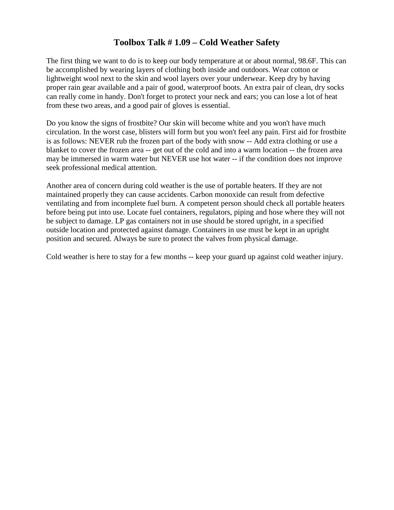## **Toolbox Talk # 1.09 – Cold Weather Safety**

The first thing we want to do is to keep our body temperature at or about normal, 98.6F. This can be accomplished by wearing layers of clothing both inside and outdoors. Wear cotton or lightweight wool next to the skin and wool layers over your underwear. Keep dry by having proper rain gear available and a pair of good, waterproof boots. An extra pair of clean, dry socks can really come in handy. Don't forget to protect your neck and ears; you can lose a lot of heat from these two areas, and a good pair of gloves is essential.

Do you know the signs of frostbite? Our skin will become white and you won't have much circulation. In the worst case, blisters will form but you won't feel any pain. First aid for frostbite is as follows: NEVER rub the frozen part of the body with snow -- Add extra clothing or use a blanket to cover the frozen area -- get out of the cold and into a warm location -- the frozen area may be immersed in warm water but NEVER use hot water -- if the condition does not improve seek professional medical attention.

Another area of concern during cold weather is the use of portable heaters. If they are not maintained properly they can cause accidents. Carbon monoxide can result from defective ventilating and from incomplete fuel burn. A competent person should check all portable heaters before being put into use. Locate fuel containers, regulators, piping and hose where they will not be subject to damage. LP gas containers not in use should be stored upright, in a specified outside location and protected against damage. Containers in use must be kept in an upright position and secured. Always be sure to protect the valves from physical damage.

Cold weather is here to stay for a few months -- keep your guard up against cold weather injury.